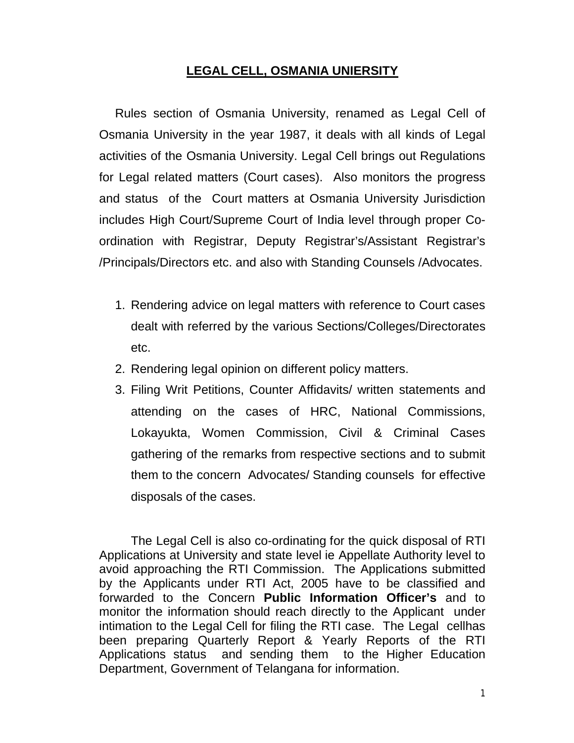## **LEGAL CELL, OSMANIA UNIERSITY**

Rules section of Osmania University, renamed as Legal Cell of Osmania University in the year 1987, it deals with all kinds of Legal activities of the Osmania University. Legal Cell brings out Regulations for Legal related matters (Court cases). Also monitors the progress and status of the Court matters at Osmania University Jurisdiction includes High Court/Supreme Court of India level through proper Coordination with Registrar, Deputy Registrar's/Assistant Registrar's /Principals/Directors etc. and also with Standing Counsels /Advocates.

- 1. Rendering advice on legal matters with reference to Court cases dealt with referred by the various Sections/Colleges/Directorates etc.
- 2. Rendering legal opinion on different policy matters.
- 3. Filing Writ Petitions, Counter Affidavits/ written statements and attending on the cases of HRC, National Commissions, Lokayukta, Women Commission, Civil & Criminal Cases gathering of the remarks from respective sections and to submit them to the concern Advocates/ Standing counsels for effective disposals of the cases.

The Legal Cell is also co-ordinating for the quick disposal of RTI Applications at University and state level ie Appellate Authority level to avoid approaching the RTI Commission. The Applications submitted by the Applicants under RTI Act, 2005 have to be classified and forwarded to the Concern **Public Information Officer's** and to monitor the information should reach directly to the Applicant under intimation to the Legal Cell for filing the RTI case. The Legal cellhas been preparing Quarterly Report & Yearly Reports of the RTI Applications status and sending them to the Higher Education Department, Government of Telangana for information.